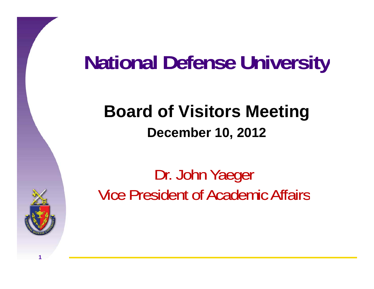#### **National Defense Universit niversity**

## **Board of Visitors Meeting December 10, 2012**

Dr. John Yaeger Vice President of Academic Affairs

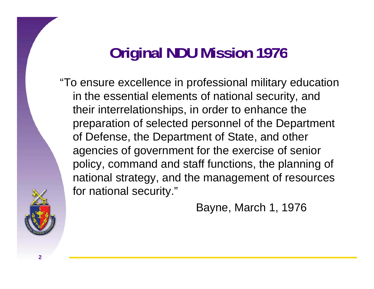# **Original NDU Mission 1976**

"To ensure excellence in professional military education in the essential elements of national security, and their interrelationships, in order to enhance the preparation of selected personnel of the Department of Defense, the Department of State, and other agencies of government for the exercise of senior policy, command and staff functions, the planning of national strategy, and the management of resources for national security."

Bayne, March 1, 1976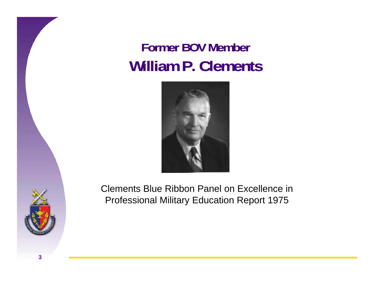#### **Former BOV Member William P. Clements**



Clements Blue Ribbon Panel on Excellence in Professional Military Education Report 1975



**3**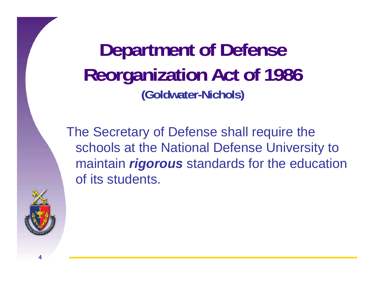**Department of Defense Reorganization Act of 1986 (G ld t oldwa ter-Ni h l ) Ni c ols**

The Secretary of Defense shall require the schools at the National Defense University to maintain *rigorous* standards for the education of its students.

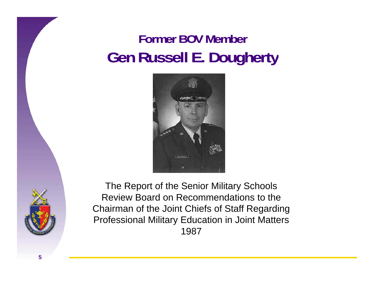#### **Former BOV Member Gen R ll E D h t Russell E. Dougherty**





The Report of the Senior Military Schools Review Board on Recommendations to the Chairman of the Joint Chiefs of Staff Regarding Professional Military Education in Joint Matters 1987

**5**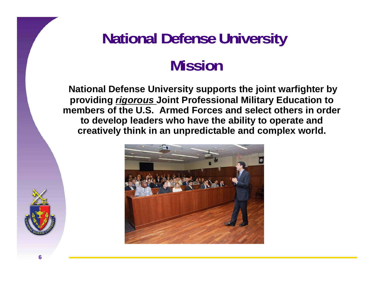# **National Defense University Mission**

**National Defense University supports the joint warfighter by providing** *rigorous* **Joint Professional Military Education to members of the U.S. Armed Forces and select others in order to develop leaders who have the ability to operate and creatively think in an unpredictable and complex world.**

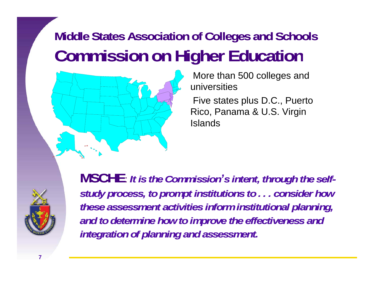### **Middle States Association of Colleges and Schools Commission on Higher Education**



More than 500 colleges and universities

Five states plus D.C., Puerto Rico, Panama & U.S. Virgin Islands



**7**

**MSCHE**: *It is the Commission 's intent, through the self self*study process, to prompt institutions to . . . consider how *these assessment activities inform institutional planning, and to determine how to improve the effectiveness and integration of planning and assessment .*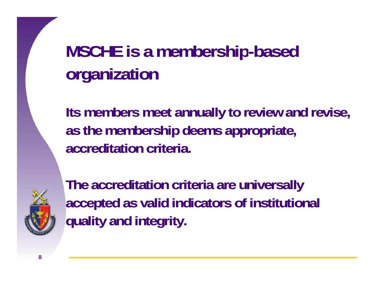# **MSCHE is a membership -based organization**

**Its members meet annually to review and revise, as th b hi d i t th e mem bershi p deems appropr appropria te, accreditation criteria.**



**The accreditation criteria are universally accepted as valid indicators of institutional quality and integrity.**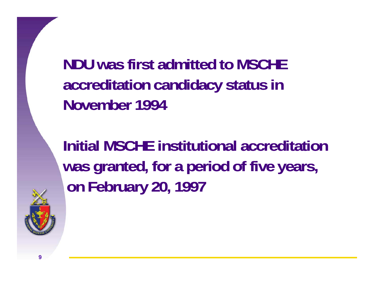**NDU was first admitted to MSCHE acc ed tat <sup>o</sup> ca d dacy status reditation n didacy status in November 1994**

**Initial MSCHE institutional accreditation was granted for a period of five years granted, years, on February 20, 1997**

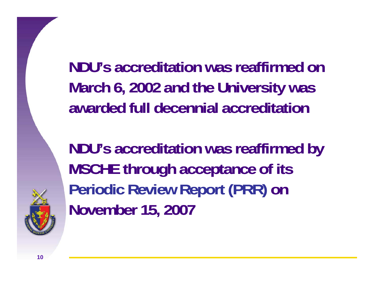**NDU's accreditation was reaffirmed on March 6, 2002 and the University was awarded full decennial accreditation**

**NDU's accreditation was reaffirmed by MSCHE through acceptance of its Periodic Review Report (PRR) on November 15, 2007**

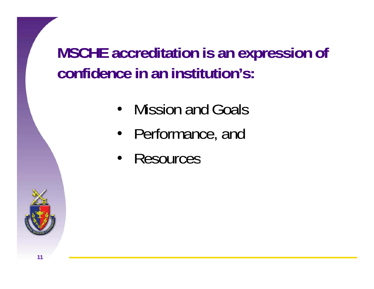**MSCHE accreditation is an expression of confidence in an institution's:**

- Mission and Goals
- •• Performance, and
- Resources

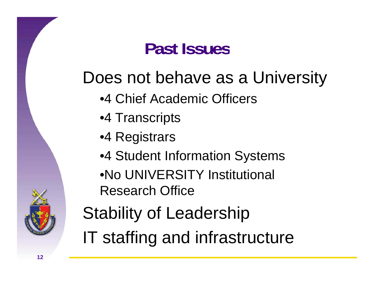# **Past Issues**

# Does not behave as a University

- •4 Chief Academic Officers
- •4 Transcripts
- •4 Registrars
- •4 Student Information Systems
- •No UNIVERSITY Institutional Research Office

# Stability of Leadership

IT staffing and infrastructure

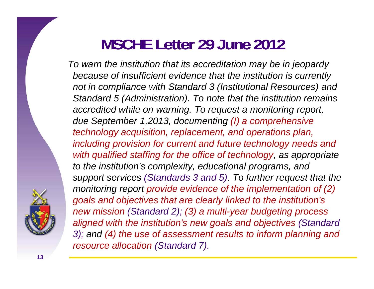### **MSCHE Letter 29 June 2012**

*To warn the institution that its accreditation may be in jeopardy because of insufficient evidence that the institution is currently not in compliance with Standard 3 (Institutional Resources) and Standard 5 (Administration). To note that the institution remains accredited while on warning. To request a monitoring report, due September 1,2013, documenting (I) a comprehensive technology acquisition, replacement, and operations plan, including provision for current and future technology needs and with qualified staffing for the office of technology, as appropriate to the institution's complexity, educational programs, and support services (Standards 3 and 5). To further request that the monitoring report provide evidence of the implementation of (2)*  goals and objectives that are clearly linked to the institution's *new mission (Standard 2) ; (3) a multi-year budgeting process aligned with the institution's new goals and objectives (Standard*  3); and (4) the use of assessment results to inform planning and *resource allocation (Standard 7).*

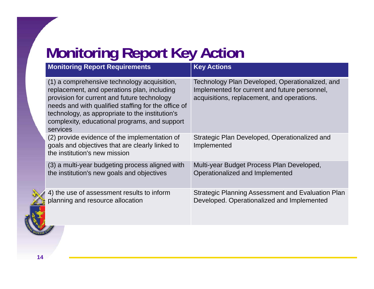# **Monitoring Report Key Action**

| <b>Monitoring Report Requirements</b>                                                                                                                                                                                                                                                                            | <b>Key Actions</b>                                                                                                                             |
|------------------------------------------------------------------------------------------------------------------------------------------------------------------------------------------------------------------------------------------------------------------------------------------------------------------|------------------------------------------------------------------------------------------------------------------------------------------------|
| (1) a comprehensive technology acquisition,<br>replacement, and operations plan, including<br>provision for current and future technology<br>needs and with qualified staffing for the office of<br>technology, as appropriate to the institution's<br>complexity, educational programs, and support<br>services | Technology Plan Developed, Operationalized, and<br>Implemented for current and future personnel,<br>acquisitions, replacement, and operations. |
| (2) provide evidence of the implementation of<br>goals and objectives that are clearly linked to<br>the institution's new mission                                                                                                                                                                                | Strategic Plan Developed, Operationalized and<br>Implemented                                                                                   |
| (3) a multi-year budgeting process aligned with<br>the institution's new goals and objectives                                                                                                                                                                                                                    | Multi-year Budget Process Plan Developed,<br>Operationalized and Implemented                                                                   |
| 4) the use of assessment results to inform<br>planning and resource allocation                                                                                                                                                                                                                                   | <b>Strategic Planning Assessment and Evaluation Plan</b><br>Developed. Operationalized and Implemented                                         |